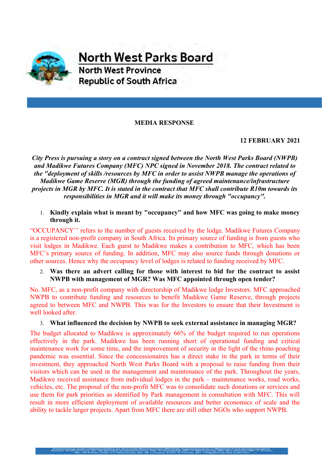

**North West Parks Board North West Province Republic of South Africa** 

### **MEDIA RESPONSE**

## **12 FEBRUARY 2021**

*City Press is pursuing a story on a contract signed between the North West Parks Board (NWPB) and Madikwe Futures Company (MFC) NPC signed in November 2018. The contract related to the "deployment of skills /resources by MFC in order to assist NWPB manage the operations of Madikwe Game Reserve (MGR) through the funding of agreed maintenance/infrastructure projects in MGR by MFC. It is stated in the contract that MFC shall contribute R10m towards its responsibilities in MGR and it will make its money through "occupancy".*

1. **Kindly explain what is meant by "occupancy" and how MFC was going to make money through it.**

"OCCUPANCY'' refers to the number of guests received by the lodge. Madikwe Futures Company is a registered non-profit company in South Africa. Its primary source of funding is from guests who visit lodges in Madikwe. Each guest to Madikwe makes a contribution to MFC, which has been MFC's primary source of funding. In addition, MFC may also source funds through donations or other sources. Hence why the occupancy level of lodges is related to funding received by MFC.

### 2. **Was there an advert calling for those with interest to bid for the contract to assist NWPB with management of MGR? Was MFC appointed through open tender?**

No. MFC, as a non-profit company with directorship of Madikwe lodge Investors. MFC approached NWPB to contribute funding and resources to benefit Madikwe Game Reserve, through projects agreed to between MFC and NWPB. This was for the Investors to ensure that their Investment is well looked after.

### 3. **What influenced the decision by NWPB to seek external assistance in managing MGR?**

The budget allocated to Madikwe is approximately 66% of the budget required to run operations effectively in the park. Madikwe has been running short of operational funding and critical maintenance work for some time, and the improvement of security in the light of the rhino poaching pandemic was essential. Since the concessionaires has a direct stake in the park in terms of their investment, they approached North West Parks Board with a proposal to raise funding from their visitors which can be used in the management and maintenance of the park. Throughout the years, Madikwe received assistance from individual lodges in the park – maintenance works, road works, vehicles, etc. The proposal of the non-profit MFC was to consolidate such donations or services and use them for park priorities as identified by Park management in consultation with MFC. This will result in more efficient deployment of available resources and better economics of scale and the ability to tackle larger projects. Apart from MFC there are still other NGOs who support NWPB.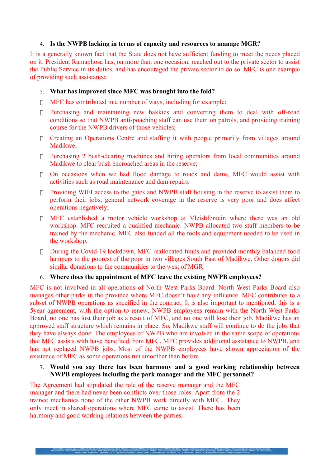### 4. **Is the NWPB lacking in terms of capacity and resources to manage MGR?**

It is a generally known fact that the State does not have sufficient funding to meet the needs placed on it. President Ramaphosa has, on more than one occasion, reached out to the private sector to assist the Public Service in its duties, and has encouraged the private sector to do so. MFC is one example of providing such assistance.

#### 5. **What has improved since MFC was brought into the fold?**

- $\Box$  MFC has contributed in a number of ways, including for example:
- Purchasing and maintaining new bakkies and converting them to deal with off-road conditions so that NWPB anti-poaching staff can use them on patrols, and providing training course for the NWPB drivers of those vehicles;
- Creating an Operations Centre and staffing it with people primarily from villages around Madikwe;
- Purchasing 2 bush-clearing machines and hiring operators from local communities around Madikwe to clear bush encroached areas in the reserve;
- On occasions when we had flood damage to roads and dams, MFC would assist with activities such as road maintenance and dam repairs.
- Providing WIFI access to the gates and NWPB staff housing in the reserve to assist them to perform their jobs, general network coverage in the reserve is very poor and does affect operations negatively;
- MFC established a motor vehicle workshop at Vleishfontein where there was an old workshop. MFC recruited a qualified mechanic. NWPB allocated two staff members to be trained by the mechanic. MFC also funded all the tools and equipment needed to be used in the workshop.
- During the Covid-19 lockdown, MFC reallocated funds and provided monthly balanced food hampers to the poorest of the poor in two villages South East of Madikwe. Other donors did similar donations to the communities to the west of MGR

### 6. **Where does the appointment of MFC leave the existing NWPB employees?**

MFC is not involved in all operations of North West Parks Board. North West Parks Board also manages other parks in the province where MFC doesn't have any influence. MFC contributes to a subset of NWPB operations as specified in the contract. It is also important to mentioned, this is a 5year agreement, with the option to renew. NWPB employees remain with the North West Parks Board, no one has lost their job as a result of MFC, and no one will lose their job. Madikwe has an approved staff structure which remains in place. So, Madikwe staff will continue to do the jobs that they have always done. The employees of NWPB who are involved in the same scope of operations that MFC assists with have benefited from MFC. MFC provides additional assistance to NWPB, and has not replaced NWPB jobs. Most of the NWPB employees have shown appreciation of the existence of MFC as some operations run smoother than before.

### 7. **Would you say there has been harmony and a good working relationship between NWPB employees including the park manager and the MFC personnel?**

The Agreement had stipulated the role of the reserve manager and the MFC manager and there had never been conflicts over those roles. Apart from the 2 trainee mechanics none of the other NWPB work directly with MFC.. They only meet in shared operations where MFC came to assist. There has been harmony and good working relations between the parties.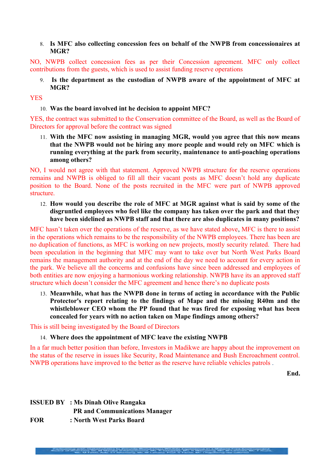## 8. **Is MFC also collecting concession fees on behalf of the NWPB from concessionaires at MGR?**

NO, NWPB collect concession fees as per their Concession agreement. MFC only collect contributions from the guests, which is used to assist funding reserve operations

9. **Is the department as the custodian of NWPB aware of the appointment of MFC at MGR?**

#### YES

10. **Was the board involved int he decision to appoint MFC?**

YES, the contract was submitted to the Conservation committee of the Board, as well as the Board of Directors for approval before the contract was signed

11. **With the MFC now assisting in managing MGR, would you agree that this now means that the NWPB would not be hiring any more people and would rely on MFC which is running everything at the park from security, maintenance to anti-poaching operations among others?**

NO, I would not agree with that statement. Approved NWPB structure for the reserve operations remains and NWPB is obliged to fill all their vacant posts as MFC doesn't hold any duplicate position to the Board. None of the posts recruited in the MFC were part of NWPB approved structure.

12. **How would you describe the role of MFC at MGR against what is said by some of the disgruntled employees who feel like the company has taken over the park and that they have been sidelined as NWPB staff and that there are also duplicates in many positions?**

MFC hasn't taken over the operations of the reserve, as we have stated above, MFC is there to assist in the operations which remains to be the responsibility of the NWPB employees. There has been are no duplication of functions, as MFC is working on new projects, mostly security related. There had been speculation in the beginning that MFC may want to take over but North West Parks Board remains the management authority and at the end of the day we need to account for every action in the park. We believe all the concerns and confusions have since been addressed and employees of both entities are now enjoying a harmonious working relationship. NWPB have its an approved staff structure which doesn't consider the MFC agreement and hence there's no duplicate posts

13. **Meanwhile, what has the NWPB done in terms of acting in accordance with the Public Protector's report relating to the findings of Mape and the missing R40m and the whistleblower CEO whom the PP found that he was fired for exposing what has been concealed for years with no action taken on Mape findings among others?**

This is still being investigated by the Board of Directors

#### 14. **Where does the appointment of MFC leave the existing NWPB**

In a far much better position than before, Investors in Madikwe are happy about the improvement on the status of the reserve in issues like Security, Road Maintenance and Bush Encroachment control. NWPB operations have improved to the better as the reserve have reliable vehicles patrols .

**End.**

# **ISSUED BY : Ms Dinah Olive Rangaka PR and Communications Manager FOR : North West Parks Board**